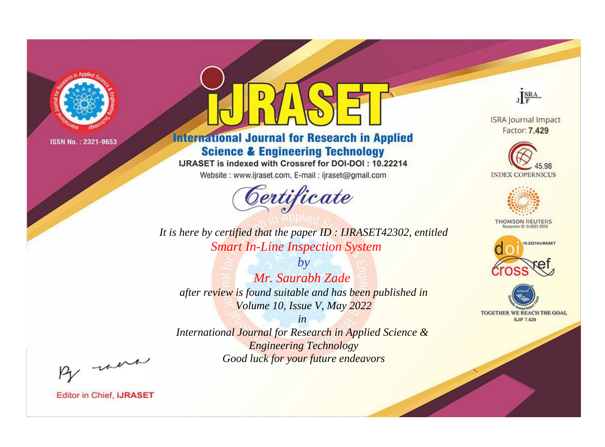

# **International Journal for Research in Applied Science & Engineering Technology**

IJRASET is indexed with Crossref for DOI-DOI: 10.22214

Website: www.ijraset.com, E-mail: ijraset@gmail.com



JERA

**ISRA Journal Impact** Factor: 7.429





**THOMSON REUTERS** 



TOGETHER WE REACH THE GOAL **SJIF 7.429** 

*It is here by certified that the paper ID : IJRASET42302, entitled Smart In-Line Inspection System*

*by Mr. Saurabh Zade after review is found suitable and has been published in Volume 10, Issue V, May 2022*

*in* 

*International Journal for Research in Applied Science & Engineering Technology Good luck for your future endeavors*

By morn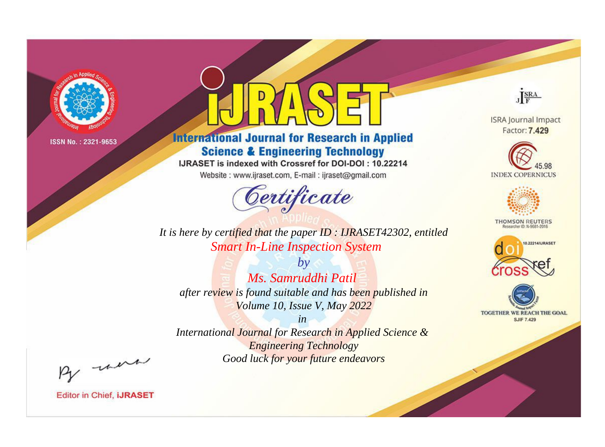

# **International Journal for Research in Applied Science & Engineering Technology**

IJRASET is indexed with Crossref for DOI-DOI: 10.22214

Website: www.ijraset.com, E-mail: ijraset@gmail.com



JERA

**ISRA Journal Impact** Factor: 7.429





**THOMSON REUTERS** 



TOGETHER WE REACH THE GOAL **SJIF 7.429** 

*It is here by certified that the paper ID : IJRASET42302, entitled Smart In-Line Inspection System*

*by Ms. Samruddhi Patil after review is found suitable and has been published in Volume 10, Issue V, May 2022*

*in* 

*International Journal for Research in Applied Science & Engineering Technology Good luck for your future endeavors*

By morn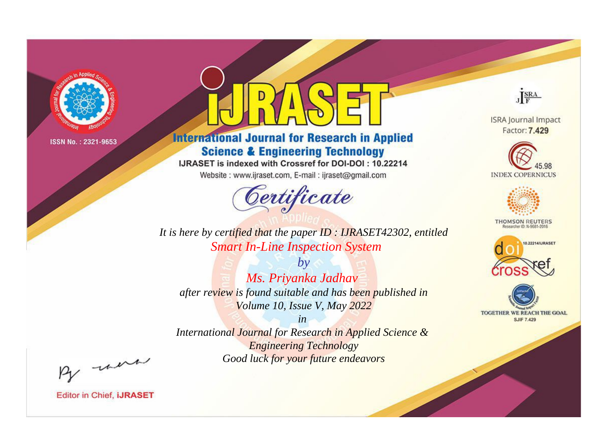

# **International Journal for Research in Applied Science & Engineering Technology**

IJRASET is indexed with Crossref for DOI-DOI: 10.22214

Website: www.ijraset.com, E-mail: ijraset@gmail.com



JERA

**ISRA Journal Impact** Factor: 7.429





**THOMSON REUTERS** 



TOGETHER WE REACH THE GOAL **SJIF 7.429** 

It is here by certified that the paper ID: IJRASET42302, entitled **Smart In-Line Inspection System** 

 $b\nu$ Ms. Priyanka Jadhav after review is found suitable and has been published in Volume 10, Issue V, May 2022

 $in$ International Journal for Research in Applied Science & **Engineering Technology** Good luck for your future endeavors

By morn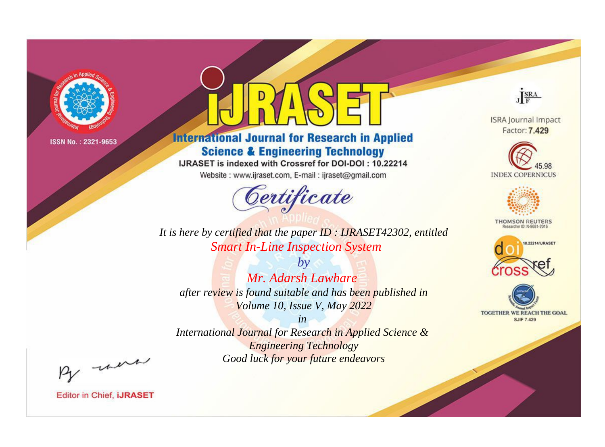

# **International Journal for Research in Applied Science & Engineering Technology**

IJRASET is indexed with Crossref for DOI-DOI: 10.22214

Website: www.ijraset.com, E-mail: ijraset@gmail.com



JERA

**ISRA Journal Impact** Factor: 7.429





**THOMSON REUTERS** 



TOGETHER WE REACH THE GOAL **SJIF 7.429** 

*It is here by certified that the paper ID : IJRASET42302, entitled Smart In-Line Inspection System*

*by Mr. Adarsh Lawhare after review is found suitable and has been published in Volume 10, Issue V, May 2022*

*in* 

*International Journal for Research in Applied Science & Engineering Technology Good luck for your future endeavors*

By morn